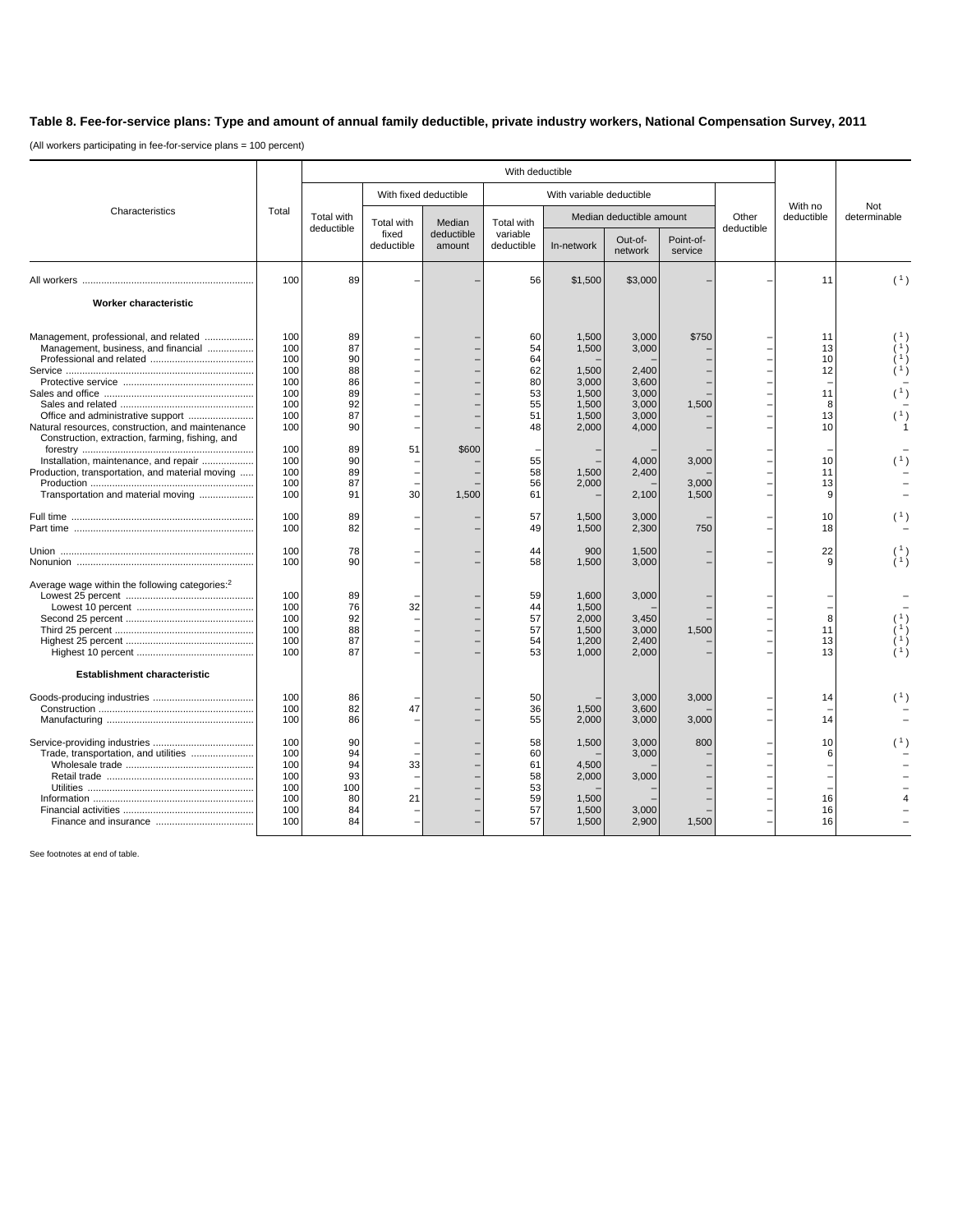## **Table 8. Fee-for-service plans: Type and amount of annual family deductible, private industry workers, National Compensation Survey, 2011**

(All workers participating in fee-for-service plans = 100 percent)

|                                                                                                     | Total      | With deductible                 |                                   |                                |                                      |                          |                    |                      |                     |                       |                     |
|-----------------------------------------------------------------------------------------------------|------------|---------------------------------|-----------------------------------|--------------------------------|--------------------------------------|--------------------------|--------------------|----------------------|---------------------|-----------------------|---------------------|
| Characteristics                                                                                     |            |                                 | With fixed deductible             |                                | With variable deductible             |                          |                    |                      |                     |                       |                     |
|                                                                                                     |            | <b>Total with</b><br>deductible | Total with<br>fixed<br>deductible | Median<br>deductible<br>amount | Total with<br>variable<br>deductible | Median deductible amount |                    |                      | Other<br>deductible | With no<br>deductible | Not<br>determinable |
|                                                                                                     |            |                                 |                                   |                                |                                      | In-network               | Out-of-<br>network | Point-of-<br>service |                     |                       |                     |
|                                                                                                     | 100        | 89                              |                                   |                                | 56                                   | \$1,500                  | \$3,000            |                      |                     | 11                    | (1)                 |
| Worker characteristic                                                                               |            |                                 |                                   |                                |                                      |                          |                    |                      |                     |                       |                     |
| Management, professional, and related<br>Management, business, and financial                        | 100<br>100 | 89<br>87                        |                                   |                                | 60<br>54                             | 1,500<br>1,500           | 3,000<br>3,000     | \$750                |                     | 11<br>13              |                     |
|                                                                                                     | 100        | 90                              |                                   |                                | 64                                   |                          |                    |                      |                     | 10                    |                     |
|                                                                                                     | 100        | 88                              |                                   |                                | 62                                   | 1,500                    | 2,400              |                      |                     | 12                    |                     |
|                                                                                                     | 100<br>100 | 86<br>89                        |                                   |                                | 80<br>53                             | 3,000<br>1,500           | 3,600<br>3,000     |                      |                     | 11                    |                     |
|                                                                                                     | 100        | 92                              |                                   |                                | 55                                   | 1,500                    | 3,000              | 1,500                |                     | 8                     |                     |
|                                                                                                     | 100        | 87                              |                                   |                                | 51                                   | 1,500                    | 3,000              |                      |                     | 13                    |                     |
| Natural resources, construction, and maintenance<br>Construction, extraction, farming, fishing, and | 100        | 90                              |                                   |                                | 48                                   | 2,000                    | 4,000              |                      |                     | 10                    |                     |
| Installation, maintenance, and repair                                                               | 100<br>100 | 89<br>90                        | 51                                | \$600                          | 55                                   |                          | 4,000              | 3,000                |                     | 10                    |                     |
| Production, transportation, and material moving                                                     | 100        | 89                              |                                   |                                | 58                                   | 1,500                    | 2,400              |                      |                     | 11                    |                     |
|                                                                                                     | 100        | 87                              |                                   |                                | 56                                   | 2,000                    |                    | 3.000                |                     | 13                    |                     |
| Transportation and material moving                                                                  | 100        | 91                              | 30                                | 1,500                          | 61                                   |                          | 2,100              | 1,500                |                     | 9                     |                     |
|                                                                                                     | 100<br>100 | 89<br>82                        |                                   |                                | 57<br>49                             | 1,500<br>1,500           | 3,000<br>2,300     | 750                  |                     | 10<br>18              |                     |
|                                                                                                     | 100        | 78                              |                                   |                                |                                      |                          |                    |                      |                     |                       |                     |
|                                                                                                     | 100        | 90                              |                                   |                                | 44<br>58                             | 900<br>1,500             | 1,500<br>3,000     |                      |                     | 22<br>9               | À1)                 |
| Average wage within the following categories: <sup>2</sup>                                          |            |                                 |                                   |                                |                                      |                          |                    |                      |                     |                       |                     |
|                                                                                                     | 100        | 89                              |                                   |                                | 59                                   | 1,600                    | 3,000              |                      |                     |                       |                     |
|                                                                                                     | 100<br>100 | 76<br>92                        | 32                                |                                | 44<br>57                             | 1,500<br>2.000           | 3.450              |                      |                     | 8                     |                     |
|                                                                                                     | 100        | 88                              |                                   |                                | 57                                   | 1,500                    | 3,000              | 1,500                |                     | 11                    |                     |
|                                                                                                     | 100        | 87                              |                                   |                                | 54                                   | 1,200                    | 2,400              |                      |                     | 13                    |                     |
|                                                                                                     | 100        | 87                              |                                   |                                | 53                                   | 1,000                    | 2,000              |                      |                     | 13                    |                     |
| <b>Establishment characteristic</b>                                                                 |            |                                 |                                   |                                |                                      |                          |                    |                      |                     |                       |                     |
|                                                                                                     | 100        | 86                              |                                   |                                | 50                                   |                          | 3,000              | 3,000                |                     | 14                    | (1)                 |
|                                                                                                     | 100        | 82                              | 47                                |                                | 36                                   | 1,500                    | 3,600              |                      |                     |                       |                     |
|                                                                                                     | 100        | 86                              |                                   |                                | 55                                   | 2,000                    | 3,000              | 3,000                |                     | 14                    |                     |
|                                                                                                     | 100        | 90                              |                                   |                                | 58                                   | 1,500                    | 3,000              | 800                  |                     | 10                    |                     |
| Trade, transportation, and utilities                                                                | 100        | 94                              |                                   |                                | 60                                   |                          | 3,000              |                      |                     | 6                     |                     |
|                                                                                                     | 100<br>100 | 94<br>93                        | 33                                |                                | 61<br>58                             | 4,500<br>2,000           | 3,000              |                      |                     |                       |                     |
|                                                                                                     | 100        | 100                             |                                   |                                | 53                                   |                          |                    |                      |                     |                       |                     |
|                                                                                                     | 100        | 80                              | 21                                |                                | 59                                   | 1,500                    |                    |                      |                     | 16                    |                     |
|                                                                                                     | 100        | 84                              |                                   |                                | 57                                   | 1,500                    | 3,000              |                      |                     | 16                    |                     |
|                                                                                                     | 100        | 84                              |                                   |                                | 57                                   | 1.500                    | 2.900              | 1.500                |                     | 16                    |                     |
|                                                                                                     |            |                                 |                                   |                                |                                      |                          |                    |                      |                     |                       |                     |

See footnotes at end of table.